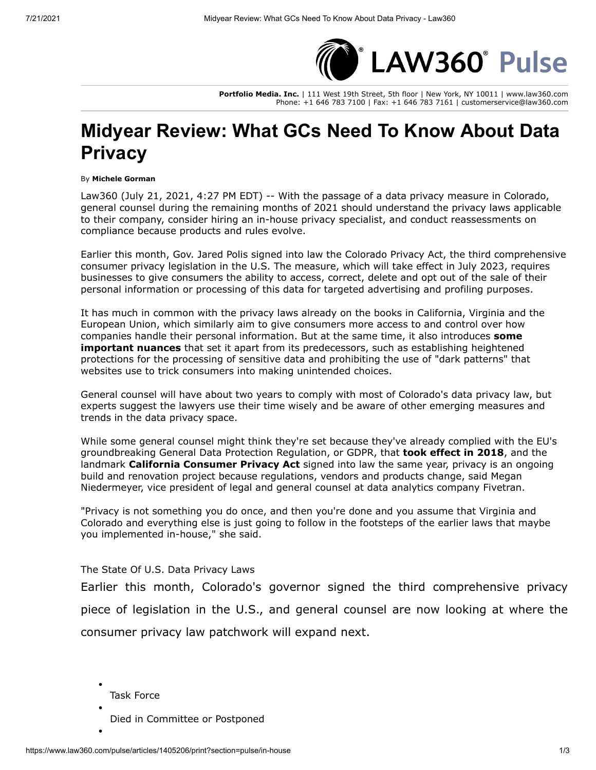

**Portfolio Media. Inc.** | 111 West 19th Street, 5th floor | New York, NY 10011 | www.law360.com Phone: +1 646 783 7100 | Fax: +1 646 783 7161 | customerservice@law360.com

## **Midyear Review: What GCs Need To Know About Data Privacy**

## By **Michele Gorman**

Law360 (July 21, 2021, 4:27 PM EDT) -- With the passage of a data privacy measure in Colorado, general counsel during the remaining months of 2021 should understand the privacy laws applicable to their company, consider hiring an in-house privacy specialist, and conduct reassessments on compliance because products and rules evolve.

Earlier this month, Gov. Jared Polis signed into law the Colorado Privacy Act, the third comprehensive consumer privacy legislation in the U.S. The measure, which will take effect in July 2023, requires businesses to give consumers the ability to access, correct, delete and opt out of the sale of their personal information or processing of this data for targeted advertising and profiling purposes.

It has much in common with the privacy laws already on the books in California, Virginia and the [European Union,](https://www.law360.com/agencies/european-union-1) which similarly aim to give consumers more access to and control over how [companies handle their personal information. But at the same time, it also introduces](https://www.law360.com/articles/1394321/colorado-adds-wrinkle-to-emerging-state-privacy-law-quilt) **some important nuances** that set it apart from its predecessors, such as establishing heightened protections for the processing of sensitive data and prohibiting the use of "dark patterns" that websites use to trick consumers into making unintended choices.

General counsel will have about two years to comply with most of Colorado's data privacy law, but experts suggest the lawyers use their time wisely and be aware of other emerging measures and trends in the data privacy space.

While some general counsel might think they're set because they've already complied with the EU's groundbreaking General Data Protection Regulation, or GDPR, that **[took effect in 2018](https://www.law360.com/articles/1048839/what-to-know-about-complying-with-gdpr)**, and the landmark **[California Consumer Privacy Act](https://www.law360.com/articles/1058573)** signed into law the same year, privacy is an ongoing build and renovation project because regulations, vendors and products change, said Megan Niedermeyer, vice president of legal and general counsel at data analytics company Fivetran.

"Privacy is not something you do once, and then you're done and you assume that Virginia and Colorado and everything else is just going to follow in the footsteps of the earlier laws that maybe you implemented in-house," she said.

The State Of U.S. Data Privacy Laws

Earlier this month, Colorado's governor signed the third comprehensive privacy piece of legislation in the U.S., and general counsel are now looking at where the consumer privacy law patchwork will expand next.

Task Force

Died in Committee or Postponed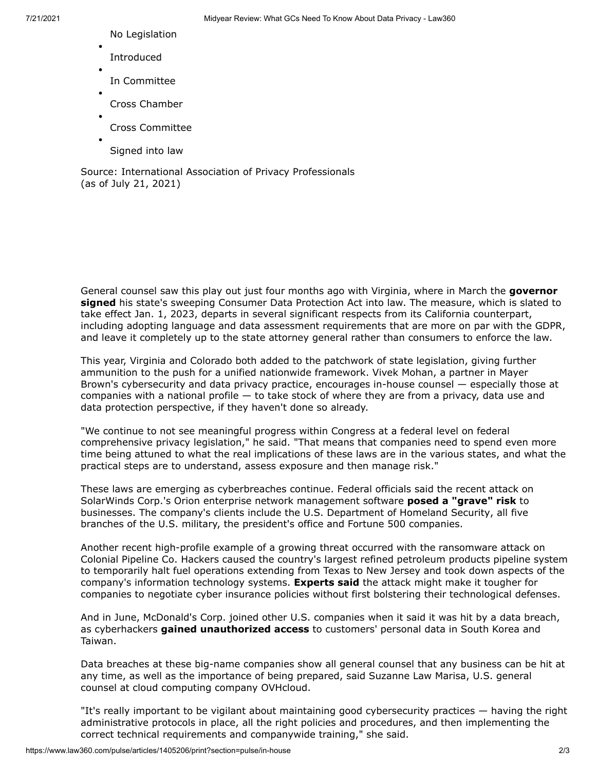- 7/21/2021 Midyear Review: What GCs Need To Know About Data Privacy Law360
	- No Legislation
	- Introduced
	- In Committee
	- Cross Chamber
	- Cross Committee
	- Signed into law

Source: [International Association of Privacy Professionals](https://www.law360.com/companies/international-association-of-privacy-professionals) (as of July 21, 2021)

General counsel saw this play out just four months ago with Virginia, where in March the **governor signed** [his state's sweeping Consumer Data Protection Act into law. The measure, which is slated to](https://www.law360.com/articles/1360772/va-becomes-2nd-state-to-enact-consumer-privacy-law) take effect Jan. 1, 2023, departs in several significant respects from its California counterpart, including adopting language and data assessment requirements that are more on par with the GDPR, and leave it completely up to the state attorney general rather than consumers to enforce the law.

This year, Virginia and Colorado both added to the patchwork of state legislation, giving further ammunition to the push for a unified nationwide framework. Vivek Mohan, a partner in Mayer [Brown's cybersecurity and data privacy practice, encourages in-house counsel — especially th](https://www.law360.com/firms/mayer-brown)ose at companies with a national profile — to take stock of where they are from a privacy, data use and data protection perspective, if they haven't done so already.

"We continue to not see meaningful progress within Congress at a federal level on federal comprehensive privacy legislation," he said. "That means that companies need to spend even more time being attuned to what the real implications of these laws are in the various states, and what the practical steps are to understand, assess exposure and then manage risk."

These laws are emerging as cyberbreaches continue. Federal officials said the recent attack on [SolarWinds Corp](https://www.law360.com/companies/solarwinds-corp).'s Orion enterprise network management software **[posed a "grave" risk](https://www.law360.com/articles/1338391/biden-could-use-obama-era-tools-to-counter-sprawling-hack)** to businesses. The company's clients include the [U.S. Department of Homeland Security,](https://www.law360.com/agencies/u-s-department-of-homeland-security) all five branches of the U.S. military, the president's office and Fortune 500 companies.

Another recent high-profile example of a growing threat occurred with the ransomware attack on [Colonial Pipeline Co](https://www.law360.com/companies/colonial-pipeline-co). Hackers caused the country's largest refined petroleum products pipeline system to temporarily halt fuel operations extending from Texas to New Jersey and took down aspects of the company's information technology systems. **[Experts said](https://www.law360.com/articles/1384435/pipeline-ransomware-attack-could-raise-cyber-insurance-bar)** the attack might make it tougher for companies to negotiate cyber insurance policies without first bolstering their technological defenses.

And in June, [McDonald's Corp](https://www.law360.com/companies/mcdonald-s-corp). joined other U.S. companies when it said it was hit by a data breach, as cyberhackers **[gained unauthorized access](https://www.law360.com/articles/1393314/mcdonald-s-reports-data-breach-in-south-korea-and-taiwan)** to customers' personal data in South Korea and Taiwan.

Data breaches at these big-name companies show all general counsel that any business can be hit at any time, as well as the importance of being prepared, said Suzanne Law Marisa, U.S. general counsel at cloud computing company OVHcloud.

"It's really important to be vigilant about maintaining good cybersecurity practices — having the right administrative protocols in place, all the right policies and procedures, and then implementing the correct technical requirements and companywide training," she said.